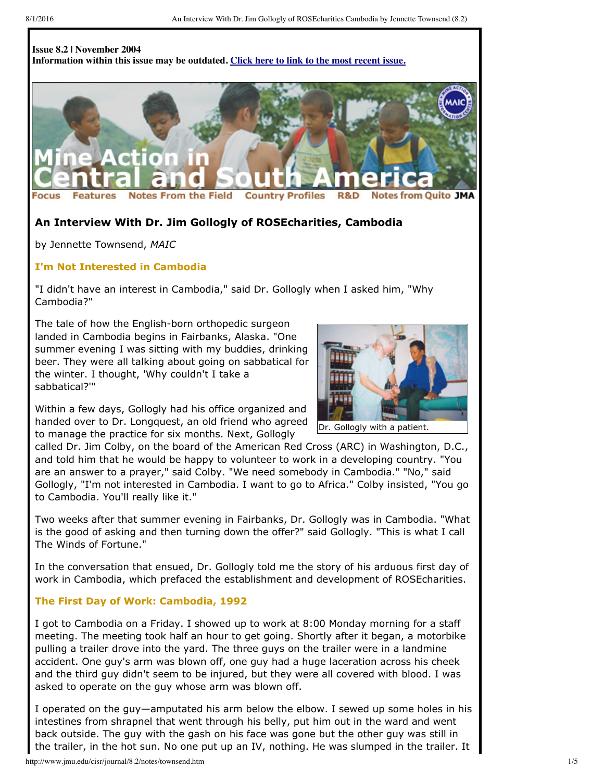#### **Issue 8.2 | November 2004 Information within this issue may be outdated. Click here to link to the most [recent](http://www.jmu.edu/cisr/journal/current.shtml) issue.**



#### **Notes From the Field Country Profiles** R&D om Quito JMA **Notes**

# **An Interview With Dr. Jim Gollogly of ROSEcharities, Cambodia**

by Jennette Townsend, *MAIC*

#### **I'm Not Interested in Cambodia**

"I didn't have an interest in Cambodia," said Dr. Gollogly when I asked him, "Why Cambodia?"

The tale of how the English-born orthopedic surgeon landed in Cambodia begins in Fairbanks, Alaska. "One summer evening I was sitting with my buddies, drinking beer. They were all talking about going on sabbatical for the winter. I thought, 'Why couldn't I take a sabbatical?'"



Within a few days, Gollogly had his office organized and handed over to Dr. Longquest, an old friend who agreed to manage the practice for six months. Next, Gollogly

called Dr. Jim Colby, on the board of the American Red Cross (ARC) in Washington, D.C., and told him that he would be happy to volunteer to work in a developing country. "You are an answer to a prayer," said Colby. "We need somebody in Cambodia." "No," said Gollogly, "I'm not interested in Cambodia. I want to go to Africa." Colby insisted, "You go to Cambodia. You'll really like it."

Two weeks after that summer evening in Fairbanks, Dr. Gollogly was in Cambodia. "What is the good of asking and then turning down the offer?" said Gollogly. "This is what I call The Winds of Fortune."

In the conversation that ensued, Dr. Gollogly told me the story of his arduous first day of work in Cambodia, which prefaced the establishment and development of ROSEcharities.

#### **The First Day of Work: Cambodia, 1992**

I got to Cambodia on a Friday. I showed up to work at 8:00 Monday morning for a staff meeting. The meeting took half an hour to get going. Shortly after it began, a motorbike pulling a trailer drove into the yard. The three guys on the trailer were in a landmine accident. One guy's arm was blown off, one guy had a huge laceration across his cheek and the third guy didn't seem to be injured, but they were all covered with blood. I was asked to operate on the guy whose arm was blown off.

I operated on the guy—amputated his arm below the elbow. I sewed up some holes in his intestines from shrapnel that went through his belly, put him out in the ward and went back outside. The guy with the gash on his face was gone but the other guy was still in the trailer, in the hot sun. No one put up an IV, nothing. He was slumped in the trailer. It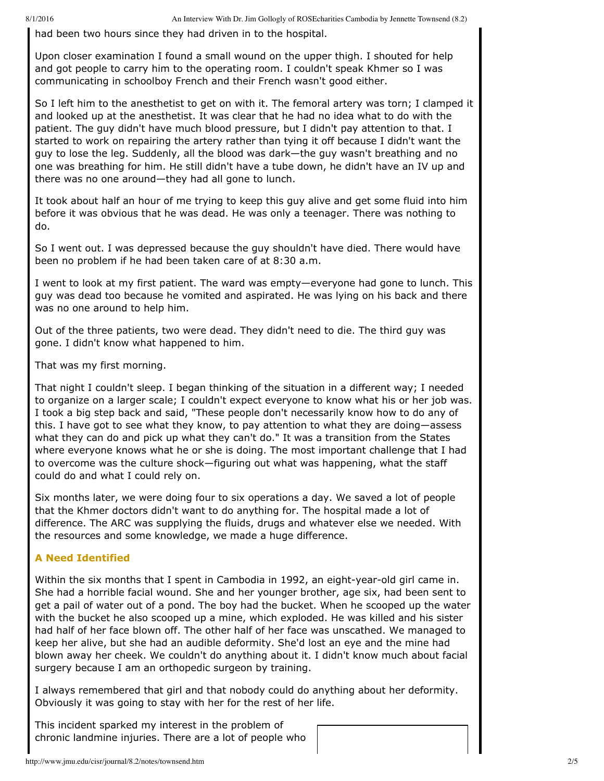8/1/2016 An Interview With Dr. Jim Gollogly of ROSEcharities Cambodia by Jennette Townsend (8.2)

had been two hours since they had driven in to the hospital.

Upon closer examination I found a small wound on the upper thigh. I shouted for help and got people to carry him to the operating room. I couldn't speak Khmer so I was communicating in schoolboy French and their French wasn't good either.

So I left him to the anesthetist to get on with it. The femoral artery was torn; I clamped it and looked up at the anesthetist. It was clear that he had no idea what to do with the patient. The guy didn't have much blood pressure, but I didn't pay attention to that. I started to work on repairing the artery rather than tying it off because I didn't want the guy to lose the leg. Suddenly, all the blood was dark—the guy wasn't breathing and no one was breathing for him. He still didn't have a tube down, he didn't have an IV up and there was no one around—they had all gone to lunch.

It took about half an hour of me trying to keep this guy alive and get some fluid into him before it was obvious that he was dead. He was only a teenager. There was nothing to do.

So I went out. I was depressed because the guy shouldn't have died. There would have been no problem if he had been taken care of at 8:30 a.m.

I went to look at my first patient. The ward was empty—everyone had gone to lunch. This guy was dead too because he vomited and aspirated. He was lying on his back and there was no one around to help him.

Out of the three patients, two were dead. They didn't need to die. The third guy was gone. I didn't know what happened to him.

That was my first morning.

That night I couldn't sleep. I began thinking of the situation in a different way; I needed to organize on a larger scale; I couldn't expect everyone to know what his or her job was. I took a big step back and said, "These people don't necessarily know how to do any of this. I have got to see what they know, to pay attention to what they are doing—assess what they can do and pick up what they can't do." It was a transition from the States where everyone knows what he or she is doing. The most important challenge that I had to overcome was the culture shock—figuring out what was happening, what the staff could do and what I could rely on.

Six months later, we were doing four to six operations a day. We saved a lot of people that the Khmer doctors didn't want to do anything for. The hospital made a lot of difference. The ARC was supplying the fluids, drugs and whatever else we needed. With the resources and some knowledge, we made a huge difference.

## **A Need Identified**

Within the six months that I spent in Cambodia in 1992, an eight-year-old girl came in. She had a horrible facial wound. She and her younger brother, age six, had been sent to get a pail of water out of a pond. The boy had the bucket. When he scooped up the water with the bucket he also scooped up a mine, which exploded. He was killed and his sister had half of her face blown off. The other half of her face was unscathed. We managed to keep her alive, but she had an audible deformity. She'd lost an eye and the mine had blown away her cheek. We couldn't do anything about it. I didn't know much about facial surgery because I am an orthopedic surgeon by training.

I always remembered that girl and that nobody could do anything about her deformity. Obviously it was going to stay with her for the rest of her life.

This incident sparked my interest in the problem of chronic landmine injuries. There are a lot of people who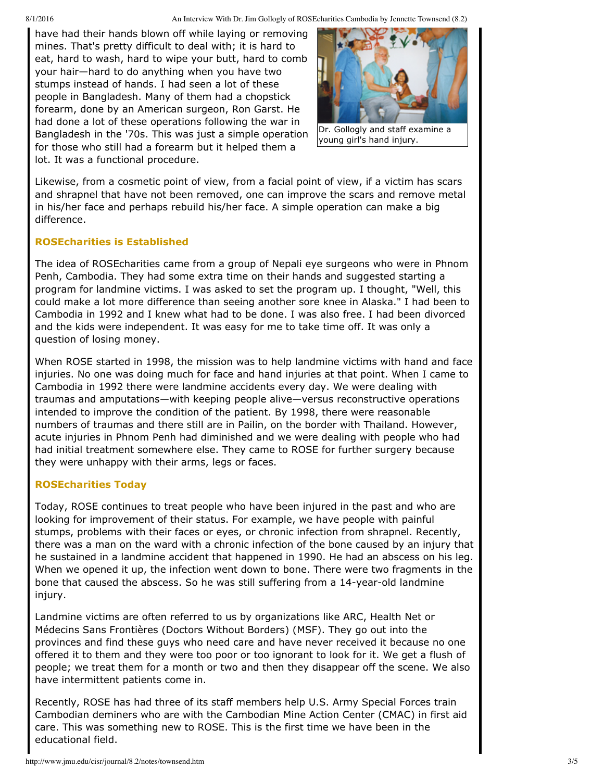8/1/2016 An Interview With Dr. Jim Gollogly of ROSEcharities Cambodia by Jennette Townsend (8.2)

have had their hands blown off while laying or removing mines. That's pretty difficult to deal with; it is hard to eat, hard to wash, hard to wipe your butt, hard to comb your hair—hard to do anything when you have two stumps instead of hands. I had seen a lot of these people in Bangladesh. Many of them had a chopstick forearm, done by an American surgeon, Ron Garst. He had done a lot of these operations following the war in Bangladesh in the '70s. This was just a simple operation for those who still had a forearm but it helped them a lot. It was a functional procedure.



Dr. Gollogly and staff examine a young girl's hand injury.

Likewise, from a cosmetic point of view, from a facial point of view, if a victim has scars and shrapnel that have not been removed, one can improve the scars and remove metal in his/her face and perhaps rebuild his/her face. A simple operation can make a big difference.

## **ROSEcharities is Established**

The idea of ROSEcharities came from a group of Nepali eye surgeons who were in Phnom Penh, Cambodia. They had some extra time on their hands and suggested starting a program for landmine victims. I was asked to set the program up. I thought, "Well, this could make a lot more difference than seeing another sore knee in Alaska." I had been to Cambodia in 1992 and I knew what had to be done. I was also free. I had been divorced and the kids were independent. It was easy for me to take time off. It was only a question of losing money.

When ROSE started in 1998, the mission was to help landmine victims with hand and face injuries. No one was doing much for face and hand injuries at that point. When I came to Cambodia in 1992 there were landmine accidents every day. We were dealing with traumas and amputations—with keeping people alive—versus reconstructive operations intended to improve the condition of the patient. By 1998, there were reasonable numbers of traumas and there still are in Pailin, on the border with Thailand. However, acute injuries in Phnom Penh had diminished and we were dealing with people who had had initial treatment somewhere else. They came to ROSE for further surgery because they were unhappy with their arms, legs or faces.

## **ROSEcharities Today**

Today, ROSE continues to treat people who have been injured in the past and who are looking for improvement of their status. For example, we have people with painful stumps, problems with their faces or eyes, or chronic infection from shrapnel. Recently, there was a man on the ward with a chronic infection of the bone caused by an injury that he sustained in a landmine accident that happened in 1990. He had an abscess on his leg. When we opened it up, the infection went down to bone. There were two fragments in the bone that caused the abscess. So he was still suffering from a 14-year-old landmine injury.

Landmine victims are often referred to us by organizations like ARC, Health Net or Médecins Sans Frontières (Doctors Without Borders) (MSF). They go out into the provinces and find these guys who need care and have never received it because no one offered it to them and they were too poor or too ignorant to look for it. We get a flush of people; we treat them for a month or two and then they disappear off the scene. We also have intermittent patients come in.

Recently, ROSE has had three of its staff members help U.S. Army Special Forces train Cambodian deminers who are with the Cambodian Mine Action Center (CMAC) in first aid care. This was something new to ROSE. This is the first time we have been in the educational field.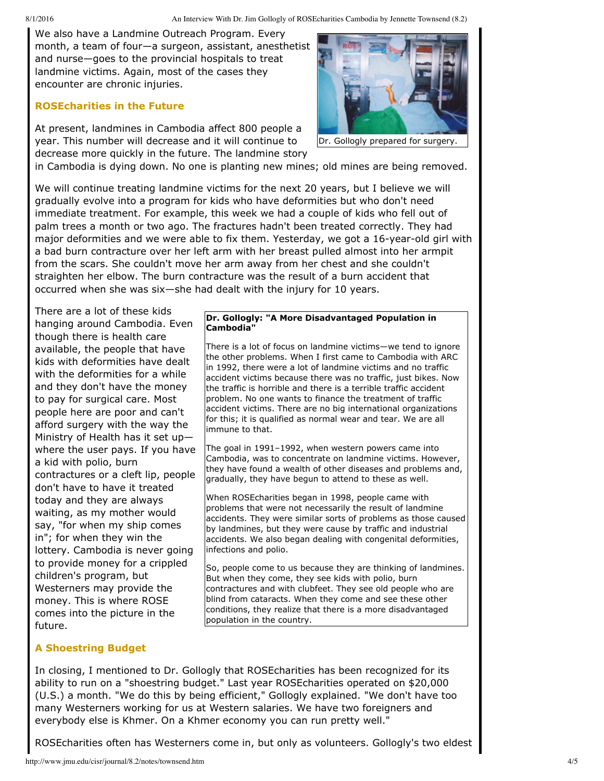We also have a Landmine Outreach Program. Every month, a team of four—a surgeon, assistant, anesthetist and nurse—goes to the provincial hospitals to treat landmine victims. Again, most of the cases they encounter are chronic injuries.

# **ROSEcharities in the Future**

At present, landmines in Cambodia affect 800 people a year. This number will decrease and it will continue to decrease more quickly in the future. The landmine story



Dr. Gollogly prepared for surgery.

in Cambodia is dying down. No one is planting new mines; old mines are being removed.

We will continue treating landmine victims for the next 20 years, but I believe we will gradually evolve into a program for kids who have deformities but who don't need immediate treatment. For example, this week we had a couple of kids who fell out of palm trees a month or two ago. The fractures hadn't been treated correctly. They had major deformities and we were able to fix them. Yesterday, we got a 16-year-old girl with a bad burn contracture over her left arm with her breast pulled almost into her armpit from the scars. She couldn't move her arm away from her chest and she couldn't straighten her elbow. The burn contracture was the result of a burn accident that occurred when she was six—she had dealt with the injury for 10 years.

There are a lot of these kids hanging around Cambodia. Even though there is health care available, the people that have kids with deformities have dealt with the deformities for a while and they don't have the money to pay for surgical care. Most people here are poor and can't afford surgery with the way the Ministry of Health has it set up where the user pays. If you have a kid with polio, burn contractures or a cleft lip, people don't have to have it treated today and they are always waiting, as my mother would say, "for when my ship comes in"; for when they win the lottery. Cambodia is never going to provide money for a crippled children's program, but Westerners may provide the money. This is where ROSE comes into the picture in the future.

#### **Dr. Gollogly: "A More Disadvantaged Population in Cambodia"**

There is a lot of focus on landmine victims—we tend to ignore the other problems. When I first came to Cambodia with ARC in 1992, there were a lot of landmine victims and no traffic accident victims because there was no traffic, just bikes. Now the traffic is horrible and there is a terrible traffic accident problem. No one wants to finance the treatment of traffic accident victims. There are no big international organizations for this; it is qualified as normal wear and tear. We are all immune to that.

The goal in 1991–1992, when western powers came into Cambodia, was to concentrate on landmine victims. However, they have found a wealth of other diseases and problems and, gradually, they have begun to attend to these as well.

When ROSEcharities began in 1998, people came with problems that were not necessarily the result of landmine accidents. They were similar sorts of problems as those caused by landmines, but they were cause by traffic and industrial accidents. We also began dealing with congenital deformities, infections and polio.

So, people come to us because they are thinking of landmines. But when they come, they see kids with polio, burn contractures and with clubfeet. They see old people who are blind from cataracts. When they come and see these other conditions, they realize that there is a more disadvantaged population in the country.

# **A Shoestring Budget**

In closing, I mentioned to Dr. Gollogly that ROSEcharities has been recognized for its ability to run on a "shoestring budget." Last year ROSEcharities operated on \$20,000 (U.S.) a month. "We do this by being efficient," Gollogly explained. "We don't have too many Westerners working for us at Western salaries. We have two foreigners and everybody else is Khmer. On a Khmer economy you can run pretty well."

ROSEcharities often has Westerners come in, but only as volunteers. Gollogly's two eldest